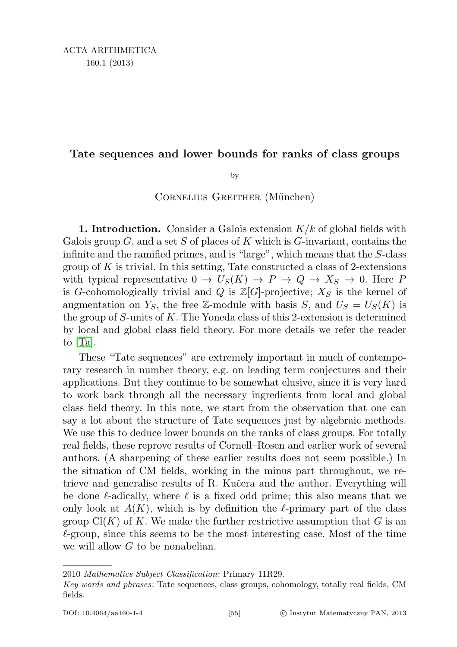# Tate sequences and lower bounds for ranks of class groups

by

## CORNELIUS GREITHER (München)

**1. Introduction.** Consider a Galois extension  $K/k$  of global fields with Galois group  $G$ , and a set S of places of K which is  $G$ -invariant, contains the infinite and the ramified primes, and is "large", which means that the S-class group of  $K$  is trivial. In this setting, Tate constructed a class of 2-extensions with typical representative  $0 \to U_S(K) \to P \to Q \to X_S \to 0$ . Here P is G-cohomologically trivial and Q is  $\mathbb{Z}[G]$ -projective;  $X_S$  is the kernel of augmentation on  $Y_S$ , the free Z-module with basis S, and  $U_S = U_S(K)$  is the group of  $S$ -units of  $K$ . The Yoneda class of this 2-extension is determined by local and global class field theory. For more details we refer the reader to [\[Ta\]](#page-11-0).

These "Tate sequences" are extremely important in much of contemporary research in number theory, e.g. on leading term conjectures and their applications. But they continue to be somewhat elusive, since it is very hard to work back through all the necessary ingredients from local and global class field theory. In this note, we start from the observation that one can say a lot about the structure of Tate sequences just by algebraic methods. We use this to deduce lower bounds on the ranks of class groups. For totally real fields, these reprove results of Cornell–Rosen and earlier work of several authors. (A sharpening of these earlier results does not seem possible.) In the situation of CM fields, working in the minus part throughout, we retrieve and generalise results of R. Kučera and the author. Everything will be done  $\ell$ -adically, where  $\ell$  is a fixed odd prime; this also means that we only look at  $A(K)$ , which is by definition the  $\ell$ -primary part of the class group  $Cl(K)$  of K. We make the further restrictive assumption that G is an  $\ell$ -group, since this seems to be the most interesting case. Most of the time we will allow G to be nonabelian.

<sup>2010</sup> Mathematics Subject Classification: Primary 11R29.

Key words and phrases: Tate sequences, class groups, cohomology, totally real fields, CM fields.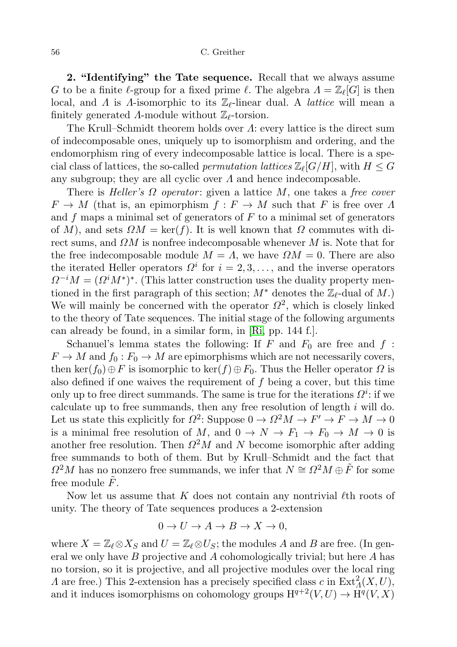#### 56 C. Greither

2. "Identifying" the Tate sequence. Recall that we always assume G to be a finite  $\ell$ -group for a fixed prime  $\ell$ . The algebra  $\Lambda = \mathbb{Z}_{\ell}[G]$  is then local, and  $\Lambda$  is  $\Lambda$ -isomorphic to its  $\mathbb{Z}_{\ell}$ -linear dual. A *lattice* will mean a finitely generated  $\Lambda$ -module without  $\mathbb{Z}_{\ell}$ -torsion.

The Krull–Schmidt theorem holds over  $\Lambda$ : every lattice is the direct sum of indecomposable ones, uniquely up to isomorphism and ordering, and the endomorphism ring of every indecomposable lattice is local. There is a special class of lattices, the so-called *permutation lattices*  $\mathbb{Z}_{\ell}[G/H]$ , with  $H \leq G$ any subgroup; they are all cyclic over  $\Lambda$  and hence indecomposable.

There is Heller's  $\Omega$  operator: given a lattice M, one takes a free cover  $F \to M$  (that is, an epimorphism  $f : F \to M$  such that F is free over  $\Lambda$ and  $f$  maps a minimal set of generators of  $F$  to a minimal set of generators of M), and sets  $\Omega M = \ker(f)$ . It is well known that  $\Omega$  commutes with direct sums, and  $\Omega M$  is nonfree indecomposable whenever M is. Note that for the free indecomposable module  $M = \Lambda$ , we have  $\Omega M = 0$ . There are also the iterated Heller operators  $\Omega^i$  for  $i = 2, 3, \ldots$ , and the inverse operators  $\Omega^{-i}M = (\Omega^{i}M^{*})^{*}$ . (This latter construction uses the duality property mentioned in the first paragraph of this section;  $M^*$  denotes the  $\mathbb{Z}_{\ell}$ -dual of M.) We will mainly be concerned with the operator  $\Omega^2$ , which is closely linked to the theory of Tate sequences. The initial stage of the following arguments can already be found, in a similar form, in [\[Ri,](#page-11-1) pp. 144 f.].

Schanuel's lemma states the following: If F and  $F_0$  are free and  $f$ :  $F \to M$  and  $f_0 : F_0 \to M$  are epimorphisms which are not necessarily covers, then ker(f<sub>0</sub>)⊕F is isomorphic to ker(f)⊕F<sub>0</sub>. Thus the Heller operator  $\Omega$  is also defined if one waives the requirement of f being a cover, but this time only up to free direct summands. The same is true for the iterations  $\Omega^i$ : if we calculate up to free summands, then any free resolution of length  $i$  will do. Let us state this explicitly for  $\Omega^2$ : Suppose  $0 \to \Omega^2 M \to F' \to F \to M \to 0$ is a minimal free resolution of M, and  $0 \to N \to F_1 \to F_0 \to M \to 0$  is another free resolution. Then  $\Omega^2 M$  and N become isomorphic after adding free summands to both of them. But by Krull–Schmidt and the fact that  $\Omega^2M$  has no nonzero free summands, we infer that  $N \cong \Omega^2M \oplus \tilde{F}$  for some free module  $F$ .

Now let us assume that K does not contain any nontrivial  $\ell$ th roots of unity. The theory of Tate sequences produces a 2-extension

$$
0 \to U \to A \to B \to X \to 0,
$$

where  $X = \mathbb{Z}_{\ell} \otimes X_S$  and  $U = \mathbb{Z}_{\ell} \otimes U_S$ ; the modules A and B are free. (In general we only have  $B$  projective and  $A$  cohomologically trivial; but here  $A$  has no torsion, so it is projective, and all projective modules over the local ring A are free.) This 2-extension has a precisely specified class c in  $\text{Ext}^2_{\Lambda}(X, U)$ , and it induces isomorphisms on cohomology groups  $H^{q+2}(V, U) \to \tilde{H}^q(V, X)$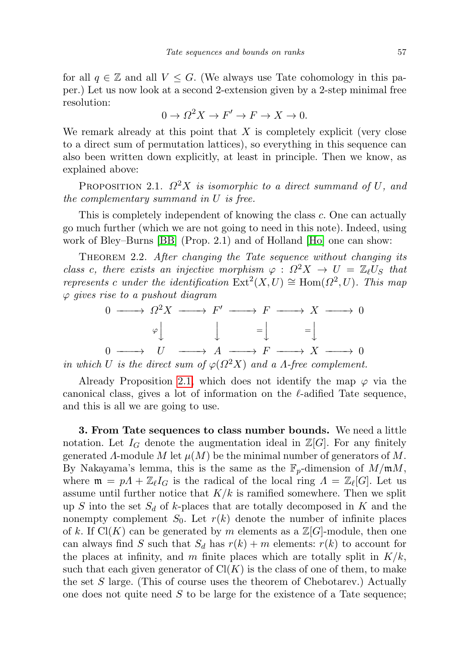for all  $q \in \mathbb{Z}$  and all  $V \leq G$ . (We always use Tate cohomology in this paper.) Let us now look at a second 2-extension given by a 2-step minimal free resolution:

$$
0 \to \Omega^2 X \to F' \to F \to X \to 0.
$$

We remark already at this point that  $X$  is completely explicit (very close to a direct sum of permutation lattices), so everything in this sequence can also been written down explicitly, at least in principle. Then we know, as explained above:

<span id="page-2-0"></span>PROPOSITION 2.1.  $\Omega^2 X$  is isomorphic to a direct summand of U, and the complementary summand in U is free.

This is completely independent of knowing the class c. One can actually go much further (which we are not going to need in this note). Indeed, using work of Bley–Burns [\[BB\]](#page-10-0) (Prop. 2.1) and of Holland [\[Ho\]](#page-10-1) one can show:

THEOREM 2.2. After changing the Tate sequence without changing its class c, there exists an injective morphism  $\varphi$  :  $\Omega^2 X \to U = \mathbb{Z}_\ell U_S$  that represents c under the identification  $\text{Ext}^2(X, U) \cong \text{Hom}(\Omega^2, U)$ . This map  $\varphi$  gives rise to a pushout diagram

$$
0 \longrightarrow \Omega^2 X \longrightarrow F' \longrightarrow F \longrightarrow X \longrightarrow 0
$$
  
\n
$$
\varphi \downarrow \qquad \qquad \downarrow \qquad = \downarrow \qquad = \downarrow
$$
  
\n
$$
0 \longrightarrow U \longrightarrow A \longrightarrow F \longrightarrow X \longrightarrow 0
$$
  
\n
$$
U \longrightarrow (0, 0, 0, 0) \longrightarrow 0 \longrightarrow 0
$$

in which U is the direct sum of  $\varphi(\Omega^2 X)$  and a A-free complement.

Already Proposition [2.1,](#page-2-0) which does not identify the map  $\varphi$  via the canonical class, gives a lot of information on the  $\ell$ -adified Tate sequence, and this is all we are going to use.

3. From Tate sequences to class number bounds. We need a little notation. Let  $I_G$  denote the augmentation ideal in  $\mathbb{Z}[G]$ . For any finitely generated  $\Lambda$ -module  $M$  let  $\mu(M)$  be the minimal number of generators of  $M$ . By Nakayama's lemma, this is the same as the  $\mathbb{F}_p$ -dimension of  $M/\mathfrak{m}M$ , where  $\mathfrak{m} = pA + \mathbb{Z}_{\ell} I_G$  is the radical of the local ring  $A = \mathbb{Z}_{\ell}[G]$ . Let us assume until further notice that  $K/k$  is ramified somewhere. Then we split up S into the set  $S_d$  of k-places that are totally decomposed in K and the nonempty complement  $S_0$ . Let  $r(k)$  denote the number of infinite places of k. If  $Cl(K)$  can be generated by m elements as a  $\mathbb{Z}[G]$ -module, then one can always find S such that  $S_d$  has  $r(k) + m$  elements:  $r(k)$  to account for the places at infinity, and m finite places which are totally split in  $K/k$ , such that each given generator of  $Cl(K)$  is the class of one of them, to make the set  $S$  large. (This of course uses the theorem of Chebotarev.) Actually one does not quite need  $S$  to be large for the existence of a Tate sequence;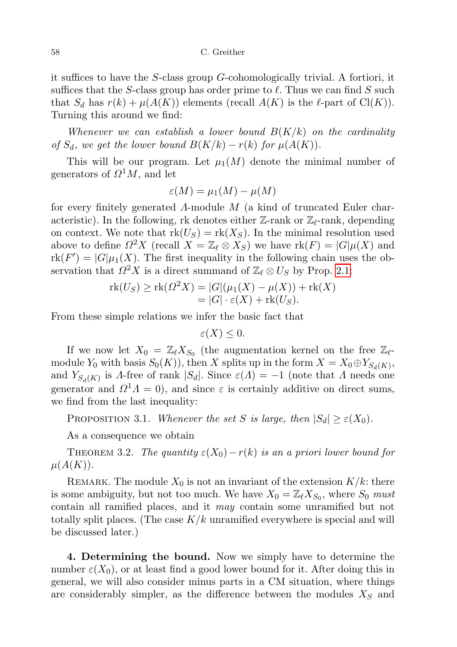it suffices to have the S-class group G-cohomologically trivial. A fortiori, it suffices that the S-class group has order prime to  $\ell$ . Thus we can find S such that  $S_d$  has  $r(k) + \mu(A(K))$  elements (recall  $A(K)$  is the  $\ell$ -part of Cl(K)). Turning this around we find:

Whenever we can establish a lower bound  $B(K/k)$  on the cardinality of  $S_d$ , we get the lower bound  $B(K/k) - r(k)$  for  $\mu(A(K))$ .

This will be our program. Let  $\mu_1(M)$  denote the minimal number of generators of  $\Omega^1 M$ , and let

$$
\varepsilon(M) = \mu_1(M) - \mu(M)
$$

for every finitely generated Λ-module M (a kind of truncated Euler characteristic). In the following, rk denotes either  $\mathbb{Z}_r$ -rank or  $\mathbb{Z}_r$ -rank, depending on context. We note that  $rk(U_S) = rk(X_S)$ . In the minimal resolution used above to define  $\Omega^2 X$  (recall  $X = \mathbb{Z}_\ell \otimes X_S$ ) we have  $\text{rk}(F) = |G|\mu(X)$  and  $\text{rk}(F') = |G|\mu_1(X)$ . The first inequality in the following chain uses the observation that  $\Omega^2 X$  is a direct summand of  $\mathbb{Z}_\ell \otimes U_S$  by Prop. [2.1:](#page-2-0)

$$
\operatorname{rk}(U_S) \ge \operatorname{rk}(\Omega^2 X) = |G|(\mu_1(X) - \mu(X)) + \operatorname{rk}(X)
$$
  
= |G| \cdot \varepsilon(X) + \operatorname{rk}(U\_S).

From these simple relations we infer the basic fact that

$$
\varepsilon(X) \leq 0.
$$

If we now let  $X_0 = \mathbb{Z}_\ell X_{S_0}$  (the augmentation kernel on the free  $\mathbb{Z}_\ell$ module  $Y_0$  with basis  $S_0(K)$ , then X splits up in the form  $X = X_0 \oplus Y_{S_d(K)}$ , and  $Y_{S_d(K)}$  is A-free of rank |S<sub>d</sub>|. Since  $\varepsilon(\Lambda) = -1$  (note that  $\Lambda$  needs one generator and  $\Omega^1 \Lambda = 0$ , and since  $\varepsilon$  is certainly additive on direct sums, we find from the last inequality:

<span id="page-3-1"></span>PROPOSITION 3.1. Whenever the set S is large, then  $|S_d| \geq \varepsilon(X_0)$ .

As a consequence we obtain

<span id="page-3-0"></span>THEOREM 3.2. The quantity  $\varepsilon(X_0)-r(k)$  is an a priori lower bound for  $\mu(A(K)).$ 

REMARK. The module  $X_0$  is not an invariant of the extension  $K/k$ : there is some ambiguity, but not too much. We have  $X_0 = \mathbb{Z}_\ell X_{S_0}$ , where  $S_0$  must contain all ramified places, and it may contain some unramified but not totally split places. (The case  $K/k$  unramified everywhere is special and will be discussed later.)

4. Determining the bound. Now we simply have to determine the number  $\varepsilon(X_0)$ , or at least find a good lower bound for it. After doing this in general, we will also consider minus parts in a CM situation, where things are considerably simpler, as the difference between the modules  $X<sub>S</sub>$  and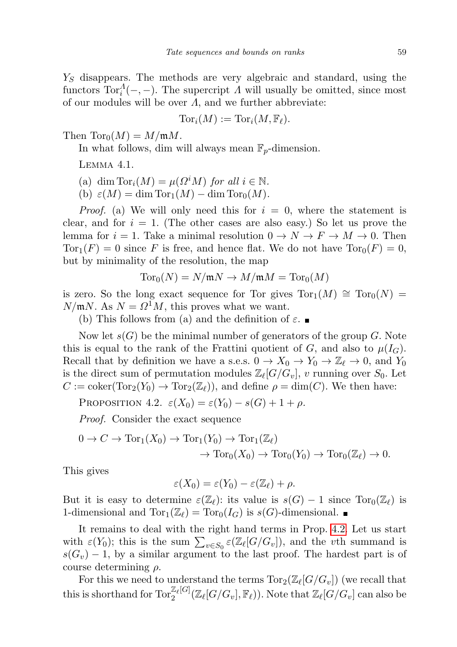$Y<sub>S</sub>$  disappears. The methods are very algebraic and standard, using the functors  $Tor_i^A(-,-)$ . The supercript  $\Lambda$  will usually be omitted, since most of our modules will be over  $\Lambda$ , and we further abbreviate:

$$
\mathrm{Tor}_i(M):=\mathrm{Tor}_i(M,\mathbb{F}_\ell).
$$

Then  $\text{Tor}_0(M) = M/\mathfrak{m}M$ .

In what follows, dim will always mean  $\mathbb{F}_p$ -dimension.

Lemma 4.1.

(a) dim Tor<sub>i</sub>
$$
(M) = \mu(\Omega^i M)
$$
 for all  $i \in \mathbb{N}$ .

(b)  $\varepsilon(M) = \dim \text{Tor}_1(M) - \dim \text{Tor}_0(M)$ .

*Proof.* (a) We will only need this for  $i = 0$ , where the statement is clear, and for  $i = 1$ . (The other cases are also easy.) So let us prove the lemma for  $i = 1$ . Take a minimal resolution  $0 \to N \to F \to M \to 0$ . Then  $Tor_1(F) = 0$  since F is free, and hence flat. We do not have  $Tor_0(F) = 0$ , but by minimality of the resolution, the map

$$
\mathrm{Tor}_0(N)=N/\mathfrak{m} N\to M/\mathfrak{m} M=\mathrm{Tor}_0(M)
$$

is zero. So the long exact sequence for Tor gives  $Tor_1(M) \cong Tor_0(N)$  $N/\mathfrak{m}N$ . As  $N = \Omega^1 M$ , this proves what we want.

(b) This follows from (a) and the definition of  $\varepsilon$ .

Now let  $s(G)$  be the minimal number of generators of the group G. Note this is equal to the rank of the Frattini quotient of G, and also to  $\mu(I_G)$ . Recall that by definition we have a s.e.s.  $0 \to X_0 \to Y_0 \to \mathbb{Z}_\ell \to 0$ , and  $Y_0$ is the direct sum of permutation modules  $\mathbb{Z}_{\ell}[G/G_v], v$  running over  $S_0$ . Let  $C := \text{coker}(\text{Tor}_2(Y_0) \to \text{Tor}_2(\mathbb{Z}_\ell))$ , and define  $\rho = \dim(C)$ . We then have:

<span id="page-4-0"></span>PROPOSITION 4.2.  $\varepsilon(X_0) = \varepsilon(Y_0) - s(G) + 1 + \rho$ .

Proof. Consider the exact sequence

$$
0 \to C \to \operatorname{Tor}_1(X_0) \to \operatorname{Tor}_1(Y_0) \to \operatorname{Tor}_1(\mathbb{Z}_\ell) \to \operatorname{Tor}_0(Y_0) \to \operatorname{Tor}_0(\mathbb{Z}_\ell) \to 0.
$$

This gives

$$
\varepsilon(X_0) = \varepsilon(Y_0) - \varepsilon(\mathbb{Z}_\ell) + \rho.
$$

But it is easy to determine  $\varepsilon(\mathbb{Z}_{\ell})$ : its value is  $s(G) - 1$  since  $\text{Tor}_0(\mathbb{Z}_{\ell})$  is 1-dimensional and  $\text{Tor}_1(\mathbb{Z}_\ell) = \text{Tor}_0(I_G)$  is  $s(G)$ -dimensional.

It remains to deal with the right hand terms in Prop. [4.2.](#page-4-0) Let us start with  $\varepsilon(Y_0)$ ; this is the sum  $\sum_{v \in S_0} \varepsilon(\mathbb{Z}_\ell[G/G_v])$ , and the vth summand is  $s(G_v) - 1$ , by a similar argument to the last proof. The hardest part is of course determining  $\rho$ .

For this we need to understand the terms  $\text{Tor}_2(\mathbb{Z}_\ell[G/G_v])$  (we recall that this is shorthand for  $\text{Tor}_2^{\mathbb{Z}_\ell[G]}(\mathbb{Z}_\ell[G/G_v], \mathbb{F}_\ell))$ . Note that  $\mathbb{Z}_\ell[G/G_v]$  can also be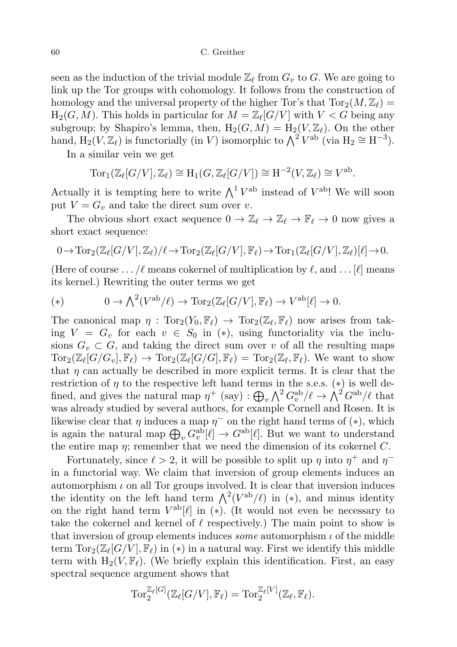60 C. Greither

seen as the induction of the trivial module  $\mathbb{Z}_{\ell}$  from  $G_v$  to G. We are going to link up the Tor groups with cohomology. It follows from the construction of homology and the universal property of the higher Tor's that  $\text{Tor}_2(M, \mathbb{Z}_\ell) =$  $H_2(G, M)$ . This holds in particular for  $M = \mathbb{Z}_{\ell}[G/V]$  with  $V < G$  being any subgroup; by Shapiro's lemma, then,  $H_2(G, M) = H_2(V, \mathbb{Z}_\ell)$ . On the other hand,  $H_2(V, \mathbb{Z}_\ell)$  is functorially (in V) isomorphic to  $\bigwedge^2 V^{ab}$  (via  $H_2 \cong H^{-3}$ ).

In a similar vein we get

$$
Tor_1(\mathbb{Z}_{\ell}[G/V], \mathbb{Z}_{\ell}) \cong H_1(G, \mathbb{Z}_{\ell}[G/V]) \cong H^{-2}(V, \mathbb{Z}_{\ell}) \cong V^{ab}.
$$

Actually it is tempting here to write  $\bigwedge^1 V^{ab}$  instead of  $V^{ab}$ ! We will soon put  $V = G_v$  and take the direct sum over v.

The obvious short exact sequence  $0 \to \mathbb{Z}_\ell \to \mathbb{Z}_\ell \to \mathbb{F}_\ell \to 0$  now gives a short exact sequence:

$$
0\rightarrow {\rm Tor}_2(\mathbb{Z}_{\ell}[G/V],\mathbb{Z}_{\ell})/\ell\rightarrow {\rm Tor}_2(\mathbb{Z}_{\ell}[G/V],\mathbb{F}_{\ell})\rightarrow {\rm Tor}_1(\mathbb{Z}_{\ell}[G/V],\mathbb{Z}_{\ell})[\ell]\rightarrow 0.
$$

(Here of course ... / $\ell$  means cokernel of multiplication by  $\ell$ , and ... [ $\ell$ ] means its kernel.) Rewriting the outer terms we get

(\*) 
$$
0 \to \bigwedge^2 (V^{\rm ab}/\ell) \to \operatorname{Tor}_2(\mathbb{Z}_{\ell}[G/V], \mathbb{F}_{\ell}) \to V^{\rm ab}[\ell] \to 0.
$$

The canonical map  $\eta : \text{Tor}_2(Y_0, \mathbb{F}_\ell) \to \text{Tor}_2(\mathbb{Z}_\ell, \mathbb{F}_\ell)$  now arises from taking  $V = G_v$  for each  $v \in S_0$  in  $(*)$ , using functoriality via the inclusions  $G_v \subset G$ , and taking the direct sum over v of all the resulting maps  $\text{Tor}_2(\mathbb{Z}_\ell[G/G_v], \mathbb{F}_\ell) \to \text{Tor}_2(\mathbb{Z}_\ell[G/G], \mathbb{F}_\ell) = \text{Tor}_2(\mathbb{Z}_\ell, \mathbb{F}_\ell)$ . We want to show that  $\eta$  can actually be described in more explicit terms. It is clear that the restriction of  $\eta$  to the respective left hand terms in the s.e.s. (\*) is well defined, and gives the natural map  $\eta^+$  (say) :  $\bigoplus_v \bigwedge^2 G_v^{\text{ab}}/\ell \to \bigwedge^2 G^{\text{ab}}/\ell$  that was already studied by several authors, for example Cornell and Rosen. It is likewise clear that  $\eta$  induces a map  $\eta^-$  on the right hand terms of  $(*)$ , which is again the natural map  $\bigoplus_{v} G_v^{\text{ab}}[\ell] \to G^{\text{ab}}[\ell]$ . But we want to understand the entire map  $\eta$ ; remember that we need the dimension of its cokernel C.

Fortunately, since  $\ell > 2$ , it will be possible to split up  $\eta$  into  $\eta^+$  and  $\eta^$ in a functorial way. We claim that inversion of group elements induces an automorphism  $\iota$  on all Tor groups involved. It is clear that inversion induces the identity on the left hand term  $\Lambda^2(V^{ab}/\ell)$  in (\*), and minus identity on the right hand term  $V^{\text{ab}}[\ell]$  in (\*). (It would not even be necessary to take the cokernel and kernel of  $\ell$  respectively.) The main point to show is that inversion of group elements induces *some* automorphism  $\iota$  of the middle term  $\text{Tor}_2(\mathbb{Z}_\ell[G/V], \mathbb{F}_\ell)$  in (\*) in a natural way. First we identify this middle term with  $H_2(V, \mathbb{F}_\ell)$ . (We briefly explain this identification. First, an easy spectral sequence argument shows that

$$
\operatorname{Tor}^{\mathbb{Z}_\ell[G]}_2(\mathbb{Z}_\ell[G/V],\mathbb{F}_\ell)=\operatorname{Tor}^{\mathbb{Z}_\ell[V]}_2(\mathbb{Z}_\ell,\mathbb{F}_\ell).
$$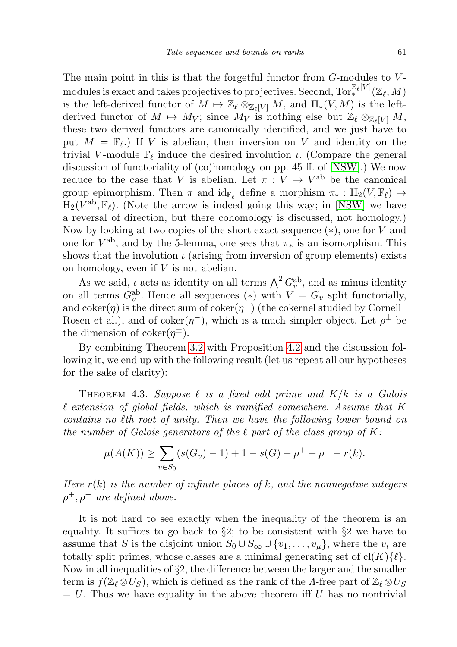The main point in this is that the forgetful functor from  $G$ -modules to  $V$ modules is exact and takes projectives to projectives. Second,  $\text{Tor}_*^{\mathbb{Z}_\ell[V]}(\mathbb{Z}_\ell,M)$ is the left-derived functor of  $M \mapsto \mathbb{Z}_{\ell} \otimes_{\mathbb{Z}_{\ell}[V]} M$ , and  $H_*(V, M)$  is the leftderived functor of  $M \mapsto M_V$ ; since  $M_V$  is nothing else but  $\mathbb{Z}_\ell \otimes_{\mathbb{Z}_\ell [V]} M$ , these two derived functors are canonically identified, and we just have to put  $M = \mathbb{F}_{\ell}$ .) If V is abelian, then inversion on V and identity on the trivial V-module  $\mathbb{F}_{\ell}$  induce the desired involution  $\iota$ . (Compare the general discussion of functoriality of (co)homology on pp. 45 ff. of [\[NSW\]](#page-10-2).) We now reduce to the case that V is abelian. Let  $\pi: V \to V^{\text{ab}}$  be the canonical group epimorphism. Then  $\pi$  and  $\mathrm{id}_{\mathbb{F}_\ell}$  define a morphism  $\pi_* : H_2(V, \mathbb{F}_\ell) \to$  $H_2(V^{ab}, \mathbb{F}_\ell)$ . (Note the arrow is indeed going this way; in [\[NSW\]](#page-10-2) we have a reversal of direction, but there cohomology is discussed, not homology.) Now by looking at two copies of the short exact sequence  $(*)$ , one for V and one for  $V^{ab}$ , and by the 5-lemma, one sees that  $\pi_*$  is an isomorphism. This shows that the involution  $\iota$  (arising from inversion of group elements) exists on homology, even if V is not abelian.

As we said,  $\iota$  acts as identity on all terms  $\bigwedge^2 G_v^{\text{ab}}$ , and as minus identity on all terms  $G_v^{\text{ab}}$ . Hence all sequences (\*) with  $V = G_v$  split functorially, and  $coker(\eta)$  is the direct sum of  $coker(\eta^+)$  (the cokernel studied by Cornell– Rosen et al.), and of coker $(\eta^-)$ , which is a much simpler object. Let  $\rho^{\pm}$  be the dimension of  $coker(\eta^{\pm})$ .

By combining Theorem [3.2](#page-3-0) with Proposition [4.2](#page-4-0) and the discussion following it, we end up with the following result (let us repeat all our hypotheses for the sake of clarity):

THEOREM 4.3. Suppose  $\ell$  is a fixed odd prime and  $K/k$  is a Galois  $\ell$ -extension of global fields, which is ramified somewhere. Assume that K contains no  $\ell$ th root of unity. Then we have the following lower bound on the number of Galois generators of the  $\ell$ -part of the class group of K:

$$
\mu(A(K)) \ge \sum_{v \in S_0} (s(G_v) - 1) + 1 - s(G) + \rho^+ + \rho^- - r(k).
$$

Here  $r(k)$  is the number of infinite places of k, and the nonnegative integers  $\rho^+, \rho^-$  are defined above.

It is not hard to see exactly when the inequality of the theorem is an equality. It suffices to go back to  $\S2$ ; to be consistent with  $\S2$  we have to assume that S is the disjoint union  $S_0 \cup S_\infty \cup \{v_1, \ldots, v_\mu\}$ , where the  $v_i$  are totally split primes, whose classes are a minimal generating set of  $\text{cl}(K)\{\ell\}.$ Now in all inequalities of  $\S2$ , the difference between the larger and the smaller term is  $f(\mathbb{Z}_\ell \otimes U_S)$ , which is defined as the rank of the Λ-free part of  $\mathbb{Z}_\ell \otimes U_S$  $= U$ . Thus we have equality in the above theorem iff U has no nontrivial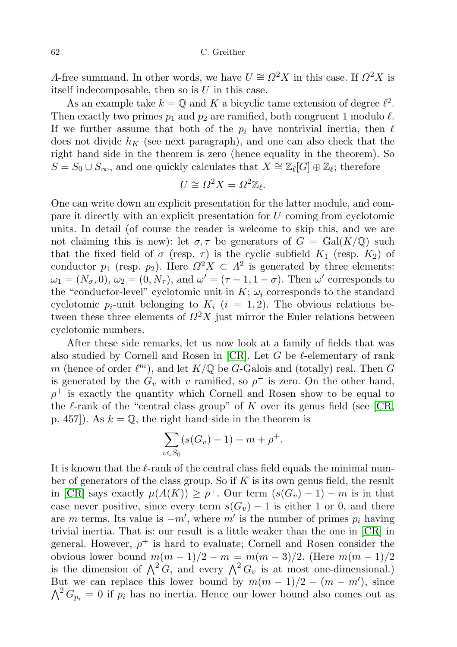62 C. Greither

A-free summand. In other words, we have  $U \cong \Omega^2 X$  in this case. If  $\Omega^2 X$  is itself indecomposable, then so is  $U$  in this case.

As an example take  $k = \mathbb{Q}$  and K a bicyclic tame extension of degree  $\ell^2$ . Then exactly two primes  $p_1$  and  $p_2$  are ramified, both congruent 1 modulo  $\ell$ . If we further assume that both of the  $p_i$  have nontrivial inertia, then  $\ell$ does not divide  $h_K$  (see next paragraph), and one can also check that the right hand side in the theorem is zero (hence equality in the theorem). So  $S = S_0 \cup S_{\infty}$ , and one quickly calculates that  $X \cong \mathbb{Z}_{\ell}[G] \oplus \mathbb{Z}_{\ell}$ ; therefore

$$
U \cong \Omega^2 X = \Omega^2 \mathbb{Z}_{\ell}.
$$

One can write down an explicit presentation for the latter module, and compare it directly with an explicit presentation for U coming from cyclotomic units. In detail (of course the reader is welcome to skip this, and we are not claiming this is new): let  $\sigma, \tau$  be generators of  $G = \text{Gal}(K/\mathbb{Q})$  such that the fixed field of  $\sigma$  (resp.  $\tau$ ) is the cyclic subfield  $K_1$  (resp.  $K_2$ ) of conductor  $p_1$  (resp.  $p_2$ ). Here  $\Omega^2 X \subset \Lambda^2$  is generated by three elements:  $\omega_1 = (N_{\sigma}, 0), \omega_2 = (0, N_{\tau}),$  and  $\omega' = (\tau - 1, 1 - \sigma)$ . Then  $\omega'$  corresponds to the "conductor-level" cyclotomic unit in  $K$ ;  $\omega_i$  corresponds to the standard cyclotomic  $p_i$ -unit belonging to  $K_i$   $(i = 1, 2)$ . The obvious relations between these three elements of  $\Omega^2 X$  just mirror the Euler relations between cyclotomic numbers.

After these side remarks, let us now look at a family of fields that was also studied by Cornell and Rosen in  $[CR]$ . Let G be  $\ell$ -elementary of rank m (hence of order  $\ell^m$ ), and let  $K/\mathbb{Q}$  be G-Galois and (totally) real. Then G is generated by the  $G_v$  with v ramified, so  $\rho^-$  is zero. On the other hand,  $\rho^+$  is exactly the quantity which Cornell and Rosen show to be equal to the  $\ell$ -rank of the "central class group" of K over its genus field (see [\[CR,](#page-10-3) p. 457). As  $k = \mathbb{Q}$ , the right hand side in the theorem is

$$
\sum_{v \in S_0} (s(G_v) - 1) - m + \rho^+.
$$

It is known that the  $\ell$ -rank of the central class field equals the minimal number of generators of the class group. So if  $K$  is its own genus field, the result in [\[CR\]](#page-10-3) says exactly  $\mu(A(K)) \geq \rho^+$ . Our term  $(s(G_v) - 1) - m$  is in that case never positive, since every term  $s(G_v) - 1$  is either 1 or 0, and there are m terms. Its value is  $-m'$ , where m' is the number of primes  $p_i$  having trivial inertia. That is: our result is a little weaker than the one in [\[CR\]](#page-10-3) in general. However,  $\rho^+$  is hard to evaluate; Cornell and Rosen consider the obvious lower bound  $m(m-1)/2 - m = m(m-3)/2$ . (Here  $m(m-1)/2$ is the dimension of  $\Lambda^2 G$ , and every  $\Lambda^2 G_v$  is at most one-dimensional.) But we can replace this lower bound by  $m(m-1)/2 - (m - m')$ , since  $\bigwedge^2 G_{p_i} = 0$  if  $p_i$  has no inertia. Hence our lower bound also comes out as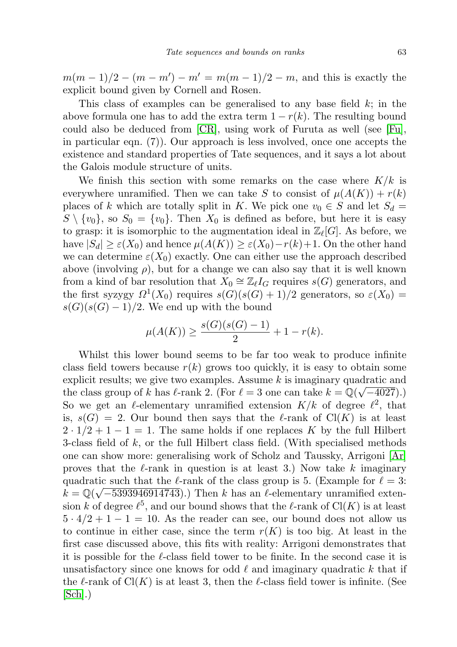$m(m-1)/2 - (m-m') - m' = m(m-1)/2 - m$ , and this is exactly the explicit bound given by Cornell and Rosen.

This class of examples can be generalised to any base field  $k$ ; in the above formula one has to add the extra term  $1 - r(k)$ . The resulting bound could also be deduced from [\[CR\]](#page-10-3), using work of Furuta as well (see [\[Fu\]](#page-10-4), in particular eqn. (7)). Our approach is less involved, once one accepts the existence and standard properties of Tate sequences, and it says a lot about the Galois module structure of units.

We finish this section with some remarks on the case where  $K/k$  is everywhere unramified. Then we can take S to consist of  $\mu(A(K)) + r(k)$ places of k which are totally split in K. We pick one  $v_0 \in S$  and let  $S_d =$  $S \setminus \{v_0\}$ , so  $S_0 = \{v_0\}$ . Then  $X_0$  is defined as before, but here it is easy to grasp: it is isomorphic to the augmentation ideal in  $\mathbb{Z}_{\ell}[G]$ . As before, we have  $|S_d| \geq \varepsilon(X_0)$  and hence  $\mu(A(K)) \geq \varepsilon(X_0)-r(k)+1$ . On the other hand we can determine  $\varepsilon(X_0)$  exactly. One can either use the approach described above (involving  $\rho$ ), but for a change we can also say that it is well known from a kind of bar resolution that  $X_0 \cong \mathbb{Z}_\ell I_G$  requires  $s(G)$  generators, and the first syzygy  $\Omega^1(X_0)$  requires  $s(G)(s(G) + 1)/2$  generators, so  $\varepsilon(X_0)$  =  $s(G)(s(G)-1)/2$ . We end up with the bound

$$
\mu(A(K)) \ge \frac{s(G)(s(G) - 1)}{2} + 1 - r(k).
$$

Whilst this lower bound seems to be far too weak to produce infinite class field towers because  $r(k)$  grows too quickly, it is easy to obtain some explicit results; we give two examples. Assume k is imaginary quadratic and the class group of k has  $\ell$ -rank 2. (For  $\ell = 3$  one can take  $k = \mathbb{Q}(\sqrt{-4027})$ .) So we get an  $\ell$ -elementary unramified extension  $K/k$  of degree  $\ell^2$ , that is,  $s(G) = 2$ . Our bound then says that the  $\ell$ -rank of Cl(K) is at least  $2 \cdot 1/2 + 1 - 1 = 1$ . The same holds if one replaces K by the full Hilbert 3-class field of k, or the full Hilbert class field. (With specialised methods one can show more: generalising work of Scholz and Taussky, Arrigoni [\[Ar\]](#page-10-5) proves that the  $\ell$ -rank in question is at least 3.) Now take k imaginary quadratic such that the  $\ell$ -rank of the class group is 5. (Example for  $\ell = 3$ :  $k = \mathbb{Q}(\sqrt{-5393946914743})$ .) Then k has an l-elementary unramified extension k of degree  $\ell^5$ , and our bound shows that the  $\ell$ -rank of  $Cl(K)$  is at least  $5 \cdot 4/2 + 1 - 1 = 10$ . As the reader can see, our bound does not allow us to continue in either case, since the term  $r(K)$  is too big. At least in the first case discussed above, this fits with reality: Arrigoni demonstrates that it is possible for the  $\ell$ -class field tower to be finite. In the second case it is unsatisfactory since one knows for odd  $\ell$  and imaginary quadratic k that if the learnt of  $Cl(K)$  is at least 3, then the learnt field tower is infinite. (See  $[Sch]$ .)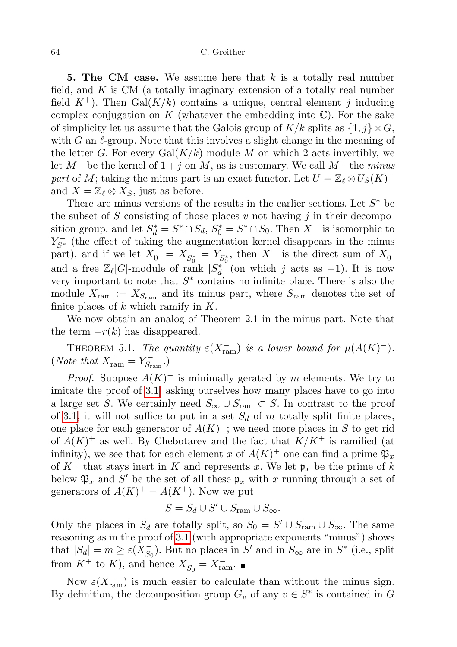**5. The CM case.** We assume here that  $k$  is a totally real number field, and  $K$  is CM (a totally imaginary extension of a totally real number field  $K^+$ ). Then Gal $(K/k)$  contains a unique, central element j inducing complex conjugation on K (whatever the embedding into  $\mathbb{C}$ ). For the sake of simplicity let us assume that the Galois group of  $K/k$  splits as  $\{1, j\} \times G$ , with G an  $\ell$ -group. Note that this involves a slight change in the meaning of the letter G. For every  $Gal(K/k)$ -module M on which 2 acts invertibly, we let  $M^-$  be the kernel of  $1 + j$  on M, as is customary. We call  $M^-$  the minus part of M; taking the minus part is an exact functor. Let  $U = \mathbb{Z}_{\ell} \otimes U_S(K)^$ and  $X = \mathbb{Z}_\ell \otimes X_S$ , just as before.

There are minus versions of the results in the earlier sections. Let  $S^*$  be the subset of S consisting of those places v not having j in their decomposition group, and let  $S_d^* = S^* \cap S_d$ ,  $S_0^* = S^* \cap S_0$ . Then  $X^-$  is isomorphic to  $Y_{S^*}^-$  (the effect of taking the augmentation kernel disappears in the minus part), and if we let  $X_0^- = X_{S_0^*}^ S_0^* = Y_{S_0^*}^ \overline{S_0^*}$ , then  $X^-$  is the direct sum of  $X_0^$ and a free  $\mathbb{Z}_{\ell}[G]$ -module of rank  $|S_d^*|$  (on which j acts as -1). It is now very important to note that  $S^*$  contains no infinite place. There is also the module  $X_{\text{ram}} := X_{S_{\text{ram}}}$  and its minus part, where  $S_{\text{ram}}$  denotes the set of finite places of  $k$  which ramify in  $K$ .

We now obtain an analog of Theorem 2.1 in the minus part. Note that the term  $-r(k)$  has disappeared.

THEOREM 5.1. The quantity  $\varepsilon(X_{\text{ram}}^-)$  is a lower bound for  $\mu(A(K)^-)$ . (*Note that*  $X_{\text{ram}}^- = Y_{S_{\text{r}}}^ \zeta^-_{\mathrm{ram}}$ .)

*Proof.* Suppose  $A(K)^-$  is minimally gerated by m elements. We try to imitate the proof of [3.1,](#page-3-1) asking ourselves how many places have to go into a large set S. We certainly need  $S_{\infty} \cup S_{\text{ram}} \subset S$ . In contrast to the proof of [3.1,](#page-3-1) it will not suffice to put in a set  $S_d$  of m totally split finite places, one place for each generator of  $A(K)^-$ ; we need more places in S to get rid of  $A(K)^+$  as well. By Chebotarev and the fact that  $K/K^+$  is ramified (at infinity), we see that for each element x of  $A(K)^+$  one can find a prime  $\mathfrak{P}_x$ of  $K^+$  that stays inert in K and represents x. We let  $\mathfrak{p}_x$  be the prime of k below  $\mathfrak{P}_x$  and S' be the set of all these  $\mathfrak{p}_x$  with x running through a set of generators of  $A(K)^+ = A(K^+)$ . Now we put

$$
S = S_d \cup S' \cup S_{\text{ram}} \cup S_{\infty}.
$$

Only the places in  $S_d$  are totally split, so  $S_0 = S' \cup S_{ram} \cup S_{\infty}$ . The same reasoning as in the proof of [3.1](#page-3-1) (with appropriate exponents "minus") shows that  $|S_d| = m \geq \varepsilon (X_{S_d}^{-1})$  $(\overline{S_0})$ . But no places in S' and in  $S_{\infty}$  are in S<sup>\*</sup> (i.e., split from  $K^+$  to K), and hence  $X_{S_0}^ S_0 = X_{\text{ram}}^-$ .

Now  $\varepsilon(X_{\text{ram}}^-)$  is much easier to calculate than without the minus sign. By definition, the decomposition group  $G_v$  of any  $v \in S^*$  is contained in G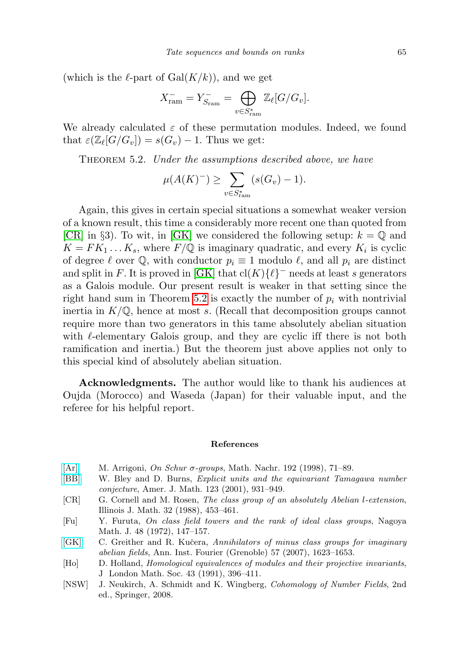(which is the  $\ell$ -part of Gal $(K/k)$ ), and we get

$$
X_{\text{ram}}^- = Y_{S_{\text{ram}}}^- = \bigoplus_{v \in S_{\text{ram}}^*} \mathbb{Z}_{\ell}[G/G_v].
$$

We already calculated  $\varepsilon$  of these permutation modules. Indeed, we found that  $\varepsilon(\mathbb{Z}_{\ell}[G/G_v]) = s(G_v) - 1$ . Thus we get:

<span id="page-10-7"></span>THEOREM 5.2. Under the assumptions described above, we have

$$
\mu(A(K)^{-}) \ge \sum_{v \in S_{\text{ram}}^{*}} (s(G_{v}) - 1).
$$

Again, this gives in certain special situations a somewhat weaker version of a known result, this time a considerably more recent one than quoted from [\[CR\]](#page-10-3) in §3). To wit, in [\[GK\]](#page-10-6) we considered the following setup:  $k = \mathbb{Q}$  and  $K = FK_1 \dots K_s$ , where  $F/\mathbb{Q}$  is imaginary quadratic, and every  $K_i$  is cyclic of degree  $\ell$  over  $\mathbb{Q}$ , with conductor  $p_i \equiv 1$  modulo  $\ell$ , and all  $p_i$  are distinct and split in F. It is proved in [\[GK\]](#page-10-6) that  $\text{cl}(K)\{\ell\}^-$  needs at least s generators as a Galois module. Our present result is weaker in that setting since the right hand sum in Theorem [5.2](#page-10-7) is exactly the number of  $p_i$  with nontrivial inertia in  $K/\mathbb{Q}$ , hence at most s. (Recall that decomposition groups cannot require more than two generators in this tame absolutely abelian situation with  $\ell$ -elementary Galois group, and they are cyclic iff there is not both ramification and inertia.) But the theorem just above applies not only to this special kind of absolutely abelian situation.

Acknowledgments. The author would like to thank his audiences at Oujda (Morocco) and Waseda (Japan) for their valuable input, and the referee for his helpful report.

#### References

- <span id="page-10-5"></span>[\[Ar\]](http://dx.doi.org/10.1002/mana.19981920105) M. Arrigoni, On Schur  $\sigma$ -groups, Math. Nachr. 192 (1998), 71–89.
- <span id="page-10-0"></span>[\[BB\]](http://dx.doi.org/10.1353/ajm.2001.0030) W. Bley and D. Burns, Explicit units and the equivariant Tamagawa number conjecture, Amer. J. Math. 123 (2001), 931–949.
- <span id="page-10-3"></span>[CR] G. Cornell and M. Rosen, The class group of an absolutely Abelian l-extension, Illinois J. Math. 32 (1988), 453–461.
- <span id="page-10-4"></span>[Fu] Y. Furuta, On class field towers and the rank of ideal class groups, Nagoya Math. J. 48 (1972), 147–157.
- <span id="page-10-6"></span>[\[GK\]](http://dx.doi.org/10.5802/aif.2309) C. Greither and R. Kučera, Annihilators of minus class groups for imaginary abelian fields, Ann. Inst. Fourier (Grenoble) 57 (2007), 1623–1653.
- <span id="page-10-1"></span>[Ho] D. Holland, Homological equivalences of modules and their projective invariants, J London Math. Soc. 43 (1991), 396–411.
- <span id="page-10-2"></span>[NSW] J. Neukirch, A. Schmidt and K. Wingberg, Cohomology of Number Fields, 2nd ed., Springer, 2008.